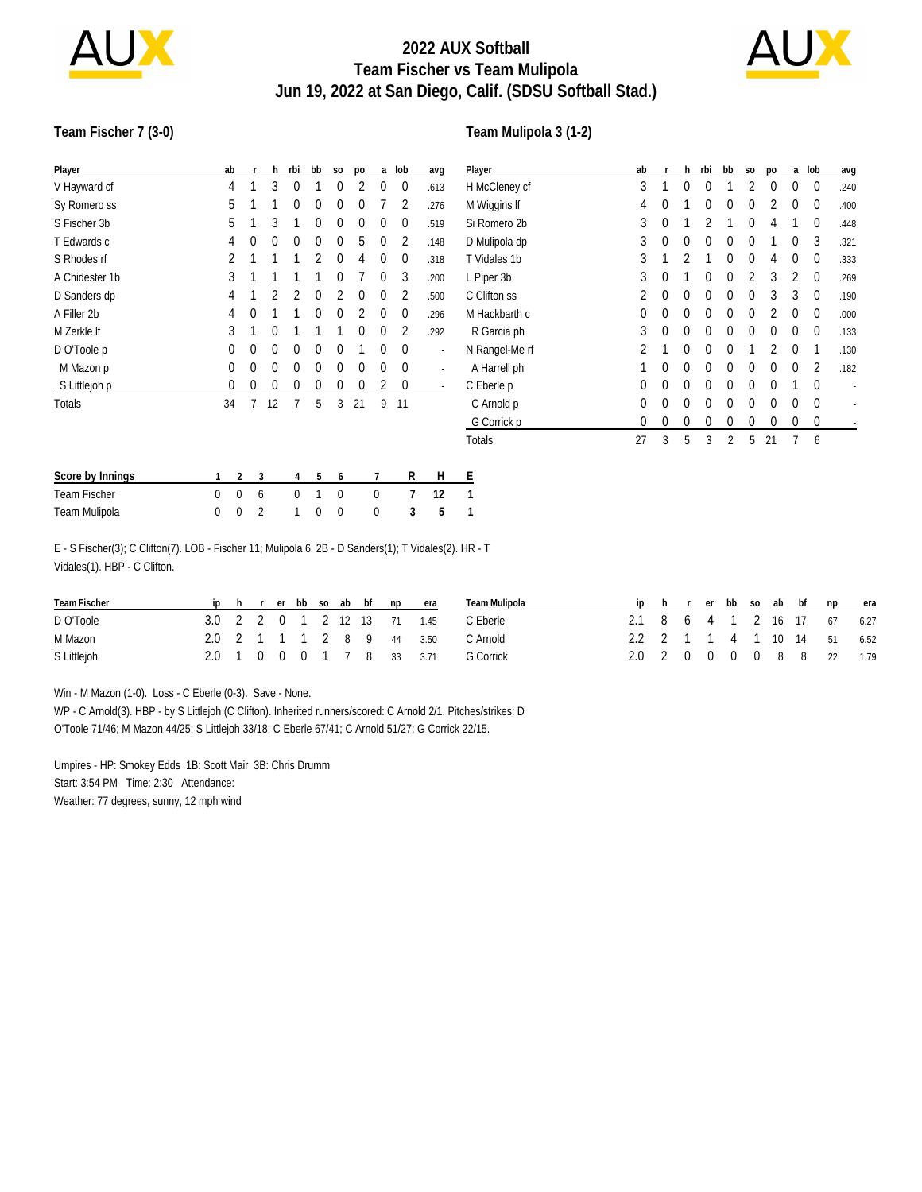

## **2022 AUX Softball Team Fischer vs Team Mulipola Jun 19, 2022 at San Diego, Calif. (SDSU Softball Stad.)**



#### **Team Fischer 7 (3-0)**

#### **Team Mulipola 3 (1-2)**

| Player           | ab | r        | h        | rbi            | bb       | S <sub>0</sub> | D <sub>O</sub> | a | lob            | avg  | P |
|------------------|----|----------|----------|----------------|----------|----------------|----------------|---|----------------|------|---|
| V Hayward cf     | 4  | 1        | 3        | 0              | 1        | 0              | 2              | 0 | 0              | .613 | Н |
| Sy Romero ss     | 5  | 1        | 1        | 0              | 0        | 0              | 0              | 7 | $\overline{2}$ | .276 | M |
| S Fischer 3b     | 5  | 1        | 3        | 1              | $\Omega$ | 0              | $\theta$       | 0 | 0              | .519 | S |
| T Edwards c      | 4  | 0        | 0        | 0              | 0        | 0              | 5              | 0 | 2              | .148 | D |
| S Rhodes rf      | 2  | 1        | 1        | 1              | 2        | 0              | 4              | 0 | 0              | .318 | Τ |
| A Chidester 1b   | 3  | 1        | 1        | 1              | 1        | 0              | 7              | 0 | 3              | .200 | L |
| D Sanders dp     | 4  | 1        | 2        | $\overline{2}$ | $\Omega$ | 2              | $\theta$       | 0 | 2              | .500 | С |
| A Filler 2b      | 4  | 0        | 1        | 1              | 0        | 0              | 2              | 0 | $\theta$       | .296 | M |
| M Zerkle If      | 3  | 1        | $\Omega$ | 1              | 1        | 1              | 0              | 0 | $\overline{2}$ | .292 |   |
| D O'Toole p      | 0  | $\Omega$ | $\Omega$ | 0              | 0        | 0              | 1              | 0 | $\Omega$       |      | N |
| M Mazon p        | 0  | $\Omega$ | $\Omega$ | 0              | $\Omega$ | 0              | $\theta$       | 0 | $\theta$       |      |   |
| S Littlejoh p    | 0  | 0        | 0        | 0              | 0        | 0              | 0              | 2 | 0              |      |   |
| Totals           | 34 | 7        | 12       | 7              | 5        | 3              | 21             | 9 | 11             |      |   |
|                  |    |          |          |                |          |                |                |   |                |      |   |
|                  |    |          |          |                |          |                |                |   |                |      | T |
| Score by Innings | 1  | 2        | 3        | 4              | 5        | 6              |                | 7 | R              | Η    | E |
|                  |    |          |          |                |          |                |                |   |                |      |   |

| Player         | ab       | r        | h              | rbi | bb             | S <sub>O</sub> | po             | a        | lob         | avg  |
|----------------|----------|----------|----------------|-----|----------------|----------------|----------------|----------|-------------|------|
| H McCleney cf  | 3        | 1        | 0              | 0   | 1              | 2              | 0              | 0        | 0           | .240 |
| M Wiggins If   | 4        | 0        | 1              | 0   | $\Omega$       | $\Omega$       | $\overline{2}$ | $\Omega$ | $\mathbf 0$ | .400 |
| Si Romero 2b   | 3        | 0        | 1              | 2   | 1              | 0              | 4              | 1        | 0           | .448 |
| D Mulipola dp  | 3        | $\Omega$ | $\Omega$       | 0   | $\Omega$       | $\Omega$       | 1              | $\Omega$ | 3           | .321 |
| T Vidales 1b   | 3        | 1        | 2              | 1   | 0              | $\mathbf 0$    | 4              | 0        | 0           | .333 |
| L Piper 3b     | 3        | 0        | 1              | 0   | 0              | 2              | 3              | 2        | 0           | .269 |
| C Clifton ss   | 2        | 0        | 0              | 0   | 0              | $\overline{0}$ | 3              | 3        | 0           | .190 |
| M Hackbarth c  | 0        | 0        | $\overline{0}$ | 0   | 0              | $\overline{0}$ | 2              | 0        | 0           | .000 |
| R Garcia ph    | 3        | 0        | $\Omega$       | 0   | 0              | $\theta$       | 0              | $\Omega$ | $\Omega$    | .133 |
| N Rangel-Me rf | 2        | 1        | 0              | 0   | 0              | 1              | $\overline{2}$ | 0        | 1           | .130 |
| A Harrell ph   | 1        | 0        | 0              | 0   | 0              | $\Omega$       | $\Omega$       | $\Omega$ | 2           | .182 |
| C Eberle p     | 0        | 0        | 0              | 0   | 0              | $\Omega$       | $\Omega$       | 1        | $\Omega$    |      |
| C Arnold p     | $\Omega$ | 0        | $\Omega$       | 0   | $\Omega$       | $\Omega$       | $\Omega$       | $\Omega$ | $\Omega$    |      |
| G Corrick p    | $\Omega$ | 0        | $\overline{0}$ | 0   | 0              | $\overline{0}$ | 0              | 0        | 0           |      |
| Totals         | 27       | 3        | 5              | 3   | $\overline{2}$ | 5              | 21             | 7        | 6           |      |

| Team Fischer  |  |  | 0 0 6 0 1 0 0 7 12 1 |  |  |
|---------------|--|--|----------------------|--|--|
| Team Mulipola |  |  | 0 0 2 1 0 0 0 3 5 1  |  |  |

E - S Fischer(3); C Clifton(7). LOB - Fischer 11; Mulipola 6. 2B - D Sanders(1); T Vidales(2). HR - T Vidales(1). HBP - C Clifton.

| Team Fischer |  |  |  |  | iphrerbbsoabbfnpera         | Team Mulipola |                             |  |  |  | ip h r er bb so ab bf np era |  |
|--------------|--|--|--|--|-----------------------------|---------------|-----------------------------|--|--|--|------------------------------|--|
| D O'Toole    |  |  |  |  | 3.0 2 2 0 1 2 12 13 71 1.45 | C Eberle      | 2.1 8 6 4 1 2 16 17 67 6.27 |  |  |  |                              |  |
| M Mazon      |  |  |  |  | 2.0 2 1 1 1 2 8 9 44 3.50   | C Arnold      | 2.2 2 1 1 4 1 10 14 51 6.52 |  |  |  |                              |  |
| S Littlejoh  |  |  |  |  | 2.0 1 0 0 0 1 7 8 33 3.71   | G Corrick     | 2.0 2 0 0 0 0 8 8 22 1.79   |  |  |  |                              |  |

Win - M Mazon (1-0). Loss - C Eberle (0-3). Save - None.

WP - C Arnold(3). HBP - by S Littlejoh (C Clifton). Inherited runners/scored: C Arnold 2/1. Pitches/strikes: D O'Toole 71/46; M Mazon 44/25; S Littlejoh 33/18; C Eberle 67/41; C Arnold 51/27; G Corrick 22/15.

Umpires - HP: Smokey Edds 1B: Scott Mair 3B: Chris Drumm Start: 3:54 PM Time: 2:30 Attendance: Weather: 77 degrees, sunny, 12 mph wind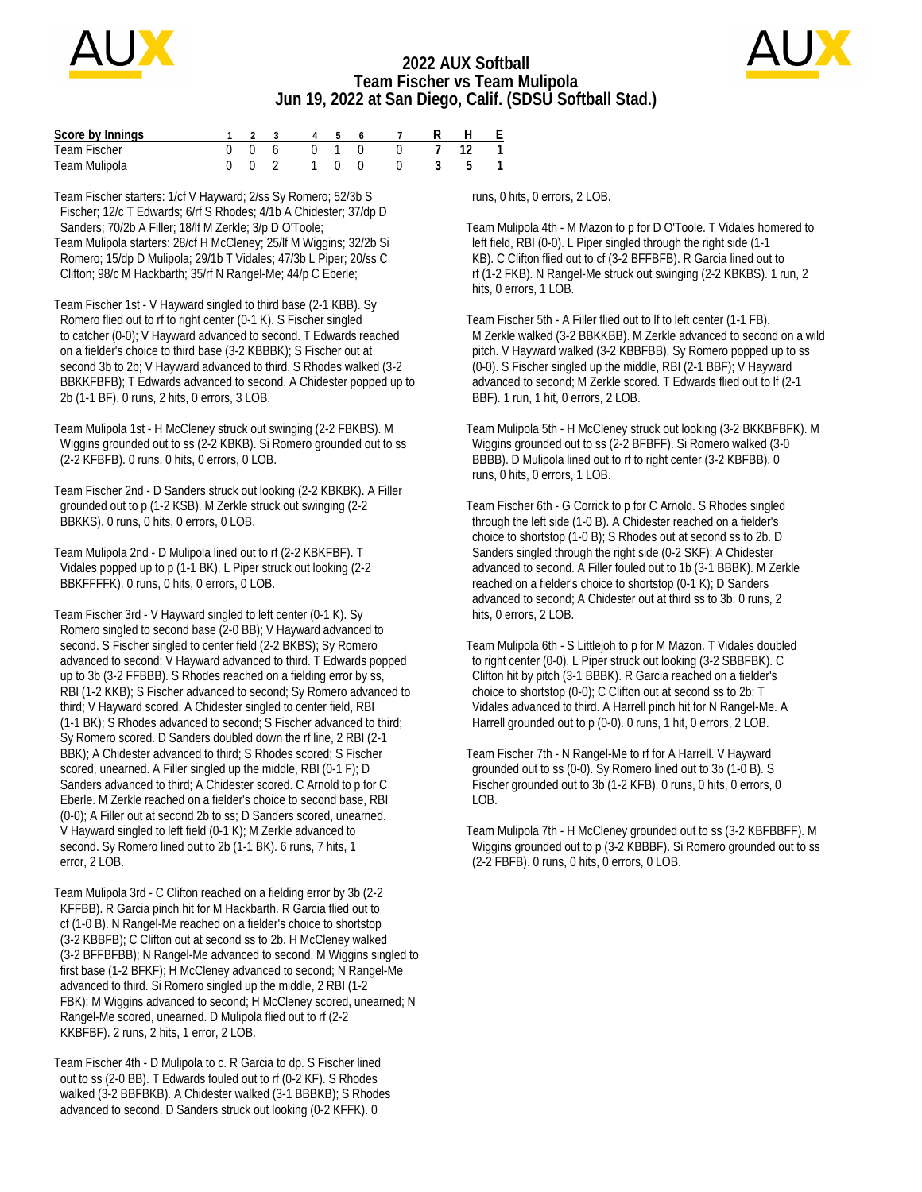

### **2022 AUX Softball Team Fischer vs Team Mulipola Jun 19, 2022 at San Diego, Calif. (SDSU Softball Stad.)**



| Score by Innings |  |  |  | 1 2 3 4 5 6 7 R H E |  |  |
|------------------|--|--|--|---------------------|--|--|
| Team Fischer     |  |  |  | 006 010 0 7 12 1    |  |  |
| Team Mulipola    |  |  |  | 0 0 2 1 0 0 0 3 5 1 |  |  |

Team Fischer starters: 1/cf V Hayward; 2/ss Sy Romero; 52/3b S Fischer; 12/c T Edwards; 6/rf S Rhodes; 4/1b A Chidester; 37/dp D Sanders; 70/2b A Filler; 18/lf M Zerkle; 3/p D O'Toole; Team Mulipola starters: 28/cf H McCleney; 25/lf M Wiggins; 32/2b Si Romero; 15/dp D Mulipola; 29/1b T Vidales; 47/3b L Piper; 20/ss C Clifton; 98/c M Hackbarth; 35/rf N Rangel-Me; 44/p C Eberle;

Team Fischer 1st - V Hayward singled to third base (2-1 KBB). Sy Romero flied out to rf to right center (0-1 K). S Fischer singled to catcher (0-0); V Hayward advanced to second. T Edwards reached on a fielder's choice to third base (3-2 KBBBK); S Fischer out at second 3b to 2b; V Hayward advanced to third. S Rhodes walked (3-2 BBKKFBFB); T Edwards advanced to second. A Chidester popped up to 2b (1-1 BF). 0 runs, 2 hits, 0 errors, 3 LOB.

Team Mulipola 1st - H McCleney struck out swinging (2-2 FBKBS). M Wiggins grounded out to ss (2-2 KBKB). Si Romero grounded out to ss (2-2 KFBFB). 0 runs, 0 hits, 0 errors, 0 LOB.

Team Fischer 2nd - D Sanders struck out looking (2-2 KBKBK). A Filler grounded out to p (1-2 KSB). M Zerkle struck out swinging (2-2 BBKKS). 0 runs, 0 hits, 0 errors, 0 LOB.

Team Mulipola 2nd - D Mulipola lined out to rf (2-2 KBKFBF). T Vidales popped up to p (1-1 BK). L Piper struck out looking (2-2 BBKFFFFK). 0 runs, 0 hits, 0 errors, 0 LOB.

Team Fischer 3rd - V Hayward singled to left center (0-1 K). Sy Romero singled to second base (2-0 BB); V Hayward advanced to second. S Fischer singled to center field (2-2 BKBS); Sy Romero advanced to second; V Hayward advanced to third. T Edwards popped up to 3b (3-2 FFBBB). S Rhodes reached on a fielding error by ss, RBI (1-2 KKB); S Fischer advanced to second; Sy Romero advanced to third; V Hayward scored. A Chidester singled to center field, RBI (1-1 BK); S Rhodes advanced to second; S Fischer advanced to third; Sy Romero scored. D Sanders doubled down the rf line, 2 RBI (2-1 BBK); A Chidester advanced to third; S Rhodes scored; S Fischer scored, unearned. A Filler singled up the middle, RBI (0-1 F); D Sanders advanced to third; A Chidester scored. C Arnold to p for C Eberle. M Zerkle reached on a fielder's choice to second base, RBI (0-0); A Filler out at second 2b to ss; D Sanders scored, unearned. V Hayward singled to left field (0-1 K); M Zerkle advanced to second. Sy Romero lined out to 2b (1-1 BK). 6 runs, 7 hits, 1 error, 2 LOB.

Team Mulipola 3rd - C Clifton reached on a fielding error by 3b (2-2 KFFBB). R Garcia pinch hit for M Hackbarth. R Garcia flied out to cf (1-0 B). N Rangel-Me reached on a fielder's choice to shortstop (3-2 KBBFB); C Clifton out at second ss to 2b. H McCleney walked (3-2 BFFBFBB); N Rangel-Me advanced to second. M Wiggins singled to first base (1-2 BFKF); H McCleney advanced to second; N Rangel-Me advanced to third. Si Romero singled up the middle, 2 RBI (1-2 FBK); M Wiggins advanced to second; H McCleney scored, unearned; N Rangel-Me scored, unearned. D Mulipola flied out to rf (2-2 KKBFBF). 2 runs, 2 hits, 1 error, 2 LOB.

Team Fischer 4th - D Mulipola to c. R Garcia to dp. S Fischer lined out to ss (2-0 BB). T Edwards fouled out to rf (0-2 KF). S Rhodes walked (3-2 BBFBKB). A Chidester walked (3-1 BBBKB); S Rhodes advanced to second. D Sanders struck out looking (0-2 KFFK). 0

runs, 0 hits, 0 errors, 2 LOB.

Team Mulipola 4th - M Mazon to p for D O'Toole. T Vidales homered to left field, RBI (0-0). L Piper singled through the right side (1-1 KB). C Clifton flied out to cf (3-2 BFFBFB). R Garcia lined out to rf (1-2 FKB). N Rangel-Me struck out swinging (2-2 KBKBS). 1 run, 2 hits, 0 errors, 1 LOB.

Team Fischer 5th - A Filler flied out to lf to left center (1-1 FB). M Zerkle walked (3-2 BBKKBB). M Zerkle advanced to second on a wild pitch. V Hayward walked (3-2 KBBFBB). Sy Romero popped up to ss (0-0). S Fischer singled up the middle, RBI (2-1 BBF); V Hayward advanced to second; M Zerkle scored. T Edwards flied out to lf (2-1 BBF). 1 run, 1 hit, 0 errors, 2 LOB.

Team Mulipola 5th - H McCleney struck out looking (3-2 BKKBFBFK). M Wiggins grounded out to ss (2-2 BFBFF). Si Romero walked (3-0 BBBB). D Mulipola lined out to rf to right center (3-2 KBFBB). 0 runs, 0 hits, 0 errors, 1 LOB.

Team Fischer 6th - G Corrick to p for C Arnold. S Rhodes singled through the left side (1-0 B). A Chidester reached on a fielder's choice to shortstop (1-0 B); S Rhodes out at second ss to 2b. D Sanders singled through the right side (0-2 SKF); A Chidester advanced to second. A Filler fouled out to 1b (3-1 BBBK). M Zerkle reached on a fielder's choice to shortstop (0-1 K); D Sanders advanced to second; A Chidester out at third ss to 3b. 0 runs, 2 hits, 0 errors, 2 LOB.

Team Mulipola 6th - S Littlejoh to p for M Mazon. T Vidales doubled to right center (0-0). L Piper struck out looking (3-2 SBBFBK). C Clifton hit by pitch (3-1 BBBK). R Garcia reached on a fielder's choice to shortstop (0-0); C Clifton out at second ss to 2b; T Vidales advanced to third. A Harrell pinch hit for N Rangel-Me. A Harrell grounded out to p (0-0). 0 runs, 1 hit, 0 errors, 2 LOB.

Team Fischer 7th - N Rangel-Me to rf for A Harrell. V Hayward grounded out to ss (0-0). Sy Romero lined out to 3b (1-0 B). S Fischer grounded out to 3b (1-2 KFB). 0 runs, 0 hits, 0 errors, 0 LOB.

Team Mulipola 7th - H McCleney grounded out to ss (3-2 KBFBBFF). M Wiggins grounded out to p (3-2 KBBBF). Si Romero grounded out to ss (2-2 FBFB). 0 runs, 0 hits, 0 errors, 0 LOB.